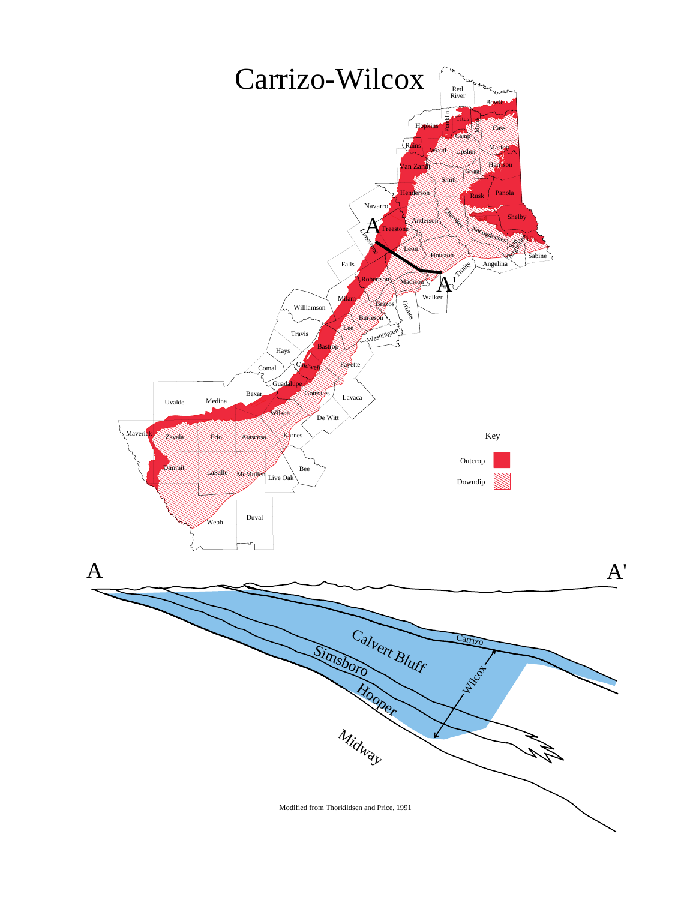